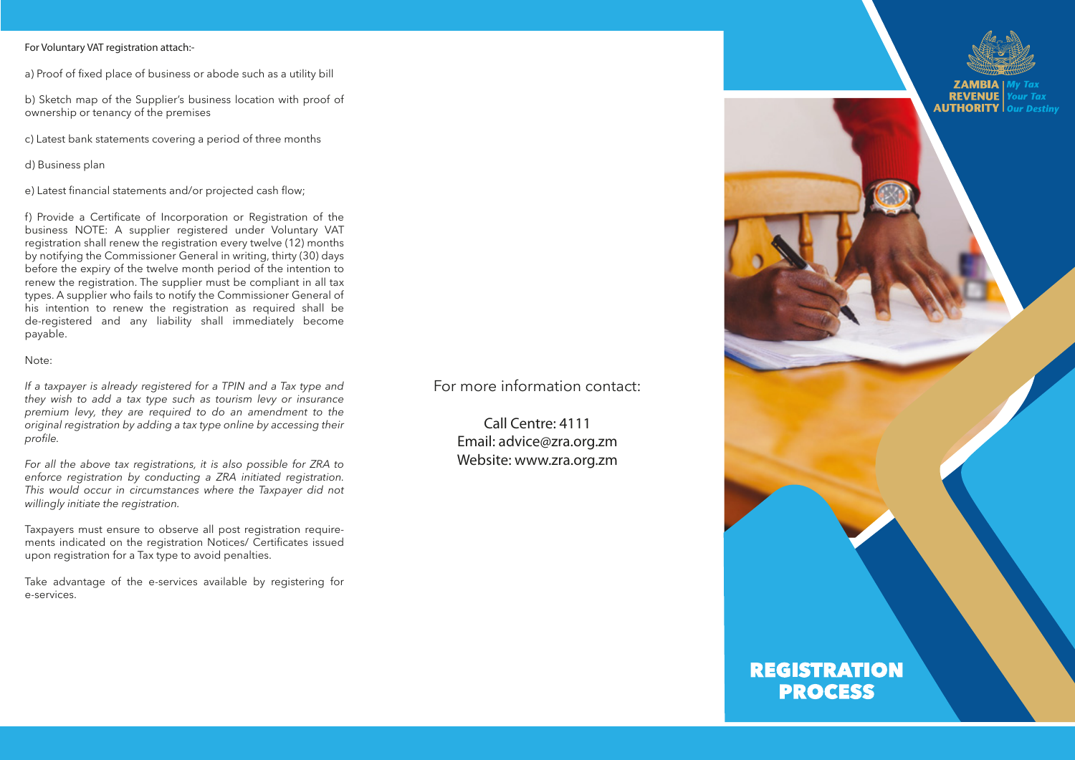#### **For Voluntary VAT registration attach:-**

a) Proof of fixed place of business or abode such as a utility bill

b) Sketch map of the Supplier's business location with proof of ownership or tenancy of the premises

c) Latest bank statements covering a period of three months

d) Business plan

e) Latest financial statements and/or projected cash flow;

f) Provide a Certificate of Incorporation or Registration of the business NOTE: A supplier registered under Voluntary VAT registration shall renew the registration every twelve (12) months by notifying the Commissioner General in writing, thirty (30) days before the expiry of the twelve month period of the intention to renew the registration. The supplier must be compliant in all tax types. A supplier who fails to notify the Commissioner General of his intention to renew the registration as required shall be de-registered and any liability shall immediately become payable.

#### Note:

*If a taxpayer is already registered for a TPIN and a Tax type and they wish to add a tax type such as tourism levy or insurance premium levy, they are required to do an amendment to the original registration by adding a tax type online by accessing their profile.*

*For all the above tax registrations, it is also possible for ZRA to enforce registration by conducting a ZRA initiated registration. This would occur in circumstances where the Taxpayer did not willingly initiate the registration.*

Taxpayers must ensure to observe all post registration requirements indicated on the registration Notices/ Certificates issued upon registration for a Tax type to avoid penalties.

Take advantage of the e-services available by registering for e-services.

For more information contact:

**Call Centre: 4111 Email: advice@zra.org.zm Website: www.zra.org.zm**